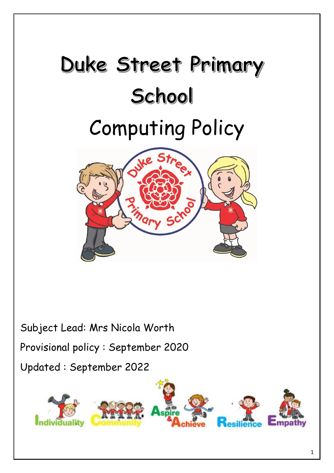# Duke Street Primary School Computing Policy



Subject Lead: Mrs Nicola Worth Provisional policy : September 2020 Updated : September 2022

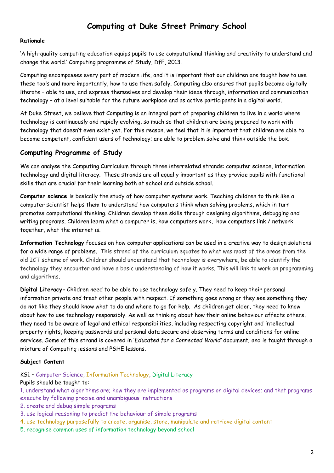# **Computing at Duke Street Primary School**

## **Rationale**

'A high-quality computing education equips pupils to use computational thinking and creativity to understand and change the world.' Computing programme of Study, DfE, 2013.

Computing encompasses every part of modern life, and it is important that our children are taught how to use these tools and more importantly, how to use them safely. Computing also ensures that pupils become digitally literate – able to use, and express themselves and develop their ideas through, information and communication technology – at a level suitable for the future workplace and as active participants in a digital world.

At Duke Street, we believe that Computing is an integral part of preparing children to live in a world where technology is continuously and rapidly evolving, so much so that children are being prepared to work with technology that doesn't even exist yet. For this reason, we feel that it is important that children are able to become competent, confident users of technology; are able to problem solve and think outside the box.

# **Computing Programme of Study**

We can analyse the Computing Curriculum through three interrelated strands: computer science, information technology and digital literacy. These strands are all equally important as they provide pupils with functional skills that are crucial for their learning both at school and outside school.

**Computer science** is basically the study of how computer systems work. Teaching children to think like a computer scientist helps them to understand how computers think when solving problems, which in turn promotes computational thinking. Children develop these skills through designing algorithms, debugging and writing programs. Children learn what a computer is, how computers work, how computers link / network together, what the internet is.

**Information Technology** focuses on how computer applications can be used in a creative way to design solutions for a wide range of problems. This strand of the curriculum equates to what was most of the areas from the old ICT scheme of work. Children should understand that technology is everywhere, be able to identify the technology they encounter and have a basic understanding of how it works. This will link to work on programming and algorithms.

**Digital Literacy-** Children need to be able to use technology safely. They need to keep their personal information private and treat other people with respect. If something goes wrong or they see something they do not like they should know what to do and where to go for help. As children get older, they need to know about how to use technology responsibly. As well as thinking about how their online behaviour affects others, they need to be aware of legal and ethical responsibilities, including respecting copyright and intellectual property rights, keeping passwords and personal data secure and observing terms and conditions for online services. Some of this strand is covered in '*Educated for a Connected World'* document; and is taught through a mixture of Computing lessons and PSHE lessons.

## **Subject Content**

KS1 – Computer Science, Information Technology, Digital Literacy

### Pupils should be taught to:

1. understand what algorithms are; how they are implemented as programs on digital devices; and that programs execute by following precise and unambiguous instructions

- 2. create and debug simple programs
- 3. use logical reasoning to predict the behaviour of simple programs
- 4. use technology purposefully to create, organise, store, manipulate and retrieve digital content
- 5. recognise common uses of information technology beyond school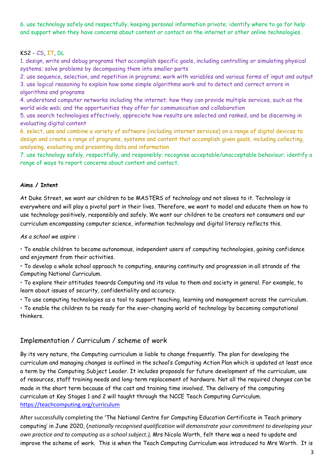6. use technology safely and respectfully, keeping personal information private; identify where to go for help and support when they have concerns about content or contact on the internet or other online technologies.

## KS2 - CS, IT, DL

1. design, write and debug programs that accomplish specific goals, including controlling or simulating physical systems; solve problems by decomposing them into smaller parts

2. use sequence, selection, and repetition in programs; work with variables and various forms of input and output 3. use logical reasoning to explain how some simple algorithms work and to detect and correct errors in algorithms and programs

4. understand computer networks including the internet; how they can provide multiple services, such as the world wide web; and the opportunities they offer for communication and collaboration

5. use search technologies effectively, appreciate how results are selected and ranked, and be discerning in evaluating digital content

6. select, use and combine a variety of software (including internet services) on a range of digital devices to design and create a range of programs, systems and content that accomplish given goals, including collecting, analysing, evaluating and presenting data and information

7. use technology safely, respectfully, and responsibly; recognise acceptable/unacceptable behaviour; identify a range of ways to report concerns about content and contact.

## **Aims / Intent**

At Duke Street, we want our children to be MASTERS of technology and not slaves to it. Technology is everywhere and will play a pivotal part in their lives. Therefore, we want to model and educate them on how to use technology positively, responsibly and safely. We want our children to be creators not consumers and our curriculum encompassing computer science, information technology and digital literacy reflects this.

*As a school we aspire :* 

• To enable children to become autonomous, independent users of computing technologies, gaining confidence and enjoyment from their activities.

• To develop a whole school approach to computing, ensuring continuity and progression in all strands of the Computing National Curriculum.

• To explore their attitudes towards Computing and its value to them and society in general. For example, to learn about issues of security, confidentiality and accuracy.

• To use computing technologies as a tool to support teaching, learning and management across the curriculum.

• To enable the children to be ready for the ever-changing world of technology by becoming computational thinkers.

# Implementation / Curriculum / scheme of work

By its very nature, the Computing curriculum is liable to change frequently. The plan for developing the curriculum and managing changes is outlined in the school's Computing Action Plan which is updated at least once a term by the Computing Subject Leader. It includes proposals for future development of the curriculum, use of resources, staff training needs and long-term replacement of hardware. Not all the required changes can be made in the short term because of the cost and training time involved. The delivery of the computing curriculum at Key Stages 1 and 2 will taught through the NCCE Teach Computing Curriculum. <https://teachcomputing.org/curriculum>

After successfully completing the 'The National Centre for Computing Education Certificate in Teach primary computing' in June 2020, (*nationally recognised qualification will demonstrate your commitment to developing your own practice and to computing as a school subject.),* Mrs Nicola Worth, felt there was a need to update and improve the scheme of work. This is when the Teach Computing Curriculum was introduced to Mrs Worth. It is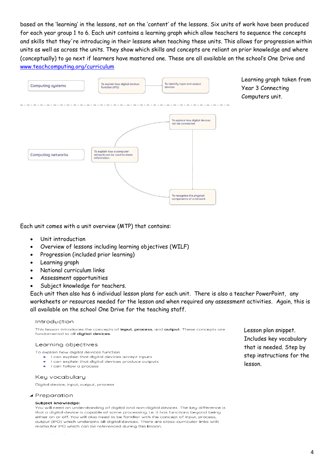based on the 'learning' in the lessons, not on the 'content' of the lessons. Six units of work have been produced for each year group 1 to 6. Each unit contains a learning graph which allow teachers to sequence the concepts and skills that they're introducing in their lessons when teaching these units. This allows for progression within units as well as across the units. They show which skills and concepts are reliant on prior knowledge and where (conceptually) to go next if learners have mastered one. These are all available on the school's One Drive and [www.teachcomputing.org/curriculum](http://www.teachcomputing.org/curriculum)



Learning graph taken from Year 3 Connecting Computers unit.

Each unit comes with a unit overview (MTP) that contains:

- Unit introduction
- Overview of lessons including learning objectives (WILF)
- Progression (included prior learning)
- Learning graph
- National curriculum links
- Assessment opportunities
- Subject knowledge for teachers.

Each unit then also has 6 individual lesson plans for each unit. There is also a teacher PowerPoint, any worksheets or resources needed for the lesson and when required any assessment activities. Again, this is all available on the school One Drive for the teaching staff.

#### Introduction

This lesson introduces the concepts of input, process, and output. These concepts are fundamental to all **digital devices**.

#### Learning objectives

- To explain how digital devices function
	- Lean explain that digital devices accept inputs
	- I can explain that digital devices produce outputs
	- I can follow a process

#### Keu vocabularu

Digital device, input, output, process

#### ▲ Preparation

#### Subject knowledge:

You will need an understanding of digital and non-digital devices. The key difference is that a digital device is capable of some processing, i.e. it has functions beyond being either on or off. You will also need to be familiar with the concept of input, process, output (IPO) which underpins all digital devices. There are cross-curricular links with maths for IPO which can be referenced during this lesson.

Lesson plan snippet. Includes key vocabulary that is needed. Step by step instructions for the lesson.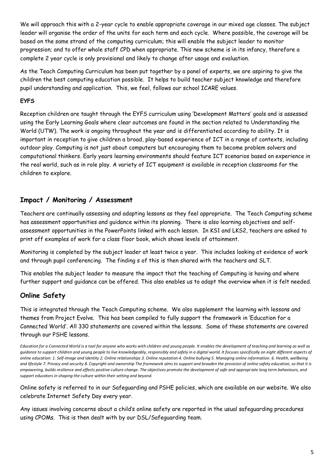We will approach this with a 2-year cycle to enable appropriate coverage in our mixed age classes. The subject leader will organise the order of the units for each term and each cycle. Where possible, the coverage will be based on the same strand of the computing curriculum; this will enable the subject leader to monitor progression; and to offer whole staff CPD when appropriate. This new scheme is in its infancy, therefore a complete 2 year cycle is only provisional and likely to change after usage and evaluation.

As the Teach Computing Curriculum has been put together by a panel of experts, we are aspiring to give the children the best computing education possible. It helps to build teacher subject knowledge and therefore pupil understanding and application. This, we feel, follows our school ICARE values.

## **EYFS**

Reception children are taught through the EYFS curriculum using 'Development Matters' goals and is assessed using the Early Learning Goals where clear outcomes are found in the section related to Understanding the World (UTW). The work is ongoing throughout the year and is differentiated according to ability. It is important in reception to give children a broad, play-based experience of ICT in a range of contexts, including outdoor play. Computing is not just about computers but encouraging them to become problem solvers and computational thinkers. Early years learning environments should feature ICT scenarios based on experience in the real world, such as in role play. A variety of ICT equipment is available in reception classrooms for the children to explore.

# **Impact / Monitoring / Assessment**

Teachers are continually assessing and adapting lessons as they feel appropriate. The Teach Computing scheme has assessment opportunities and guidance within its planning. There is also learning objectives and selfassessment opportunities in the PowerPoints linked with each lesson. In KS1 and LKS2, teachers are asked to print off examples of work for a class floor book, which shows levels of attainment.

Monitoring is completed by the subject leader at least twice a year. This includes looking at evidence of work and through pupil conferencing. The finding s of this is then shared with the teachers and SLT.

This enables the subject leader to measure the impact that the teaching of Computing is having and where further support and guidance can be offered. This also enables us to adapt the overview when it is felt needed.

# **Online Safety**

This is integrated through the Teach Computing scheme. We also supplement the learning with lessons and themes from Project Evolve. This has been compiled to fully support the framework in 'Education for a Connected World'. All 330 statements are covered within the lessons. Some of these statements are covered through our PSHE lessons.

*Education for a Connected World is a tool for anyone who works with children and young people. It enables the development of teaching and learning as well as guidance to support children and young people to live knowledgeably, responsibly and safely in a digital world. It focuses specifically on eight different aspects of online education: 1. Self-image and Identity 2. Online relationships 3. Online reputation 4. Online bullying 5. Managing online information. 6. Health, wellbeing and lifestyle 7. Privacy and security 8. Copyright and ownership The framework aims to support and broaden the provision of online safety education, so that it is empowering, builds resilience and effects positive culture change. The objectives promote the development of safe and appropriate long term behaviours, and support educators in shaping the culture within their setting and beyond.*

Online safety is referred to in our Safeguarding and PSHE policies, which are available on our website. We also celebrate Internet Safety Day every year.

Any issues involving concerns about a child's online safety are reported in the usual safeguarding procedures using CPOMs. This is then dealt with by our DSL/Safeguarding team.